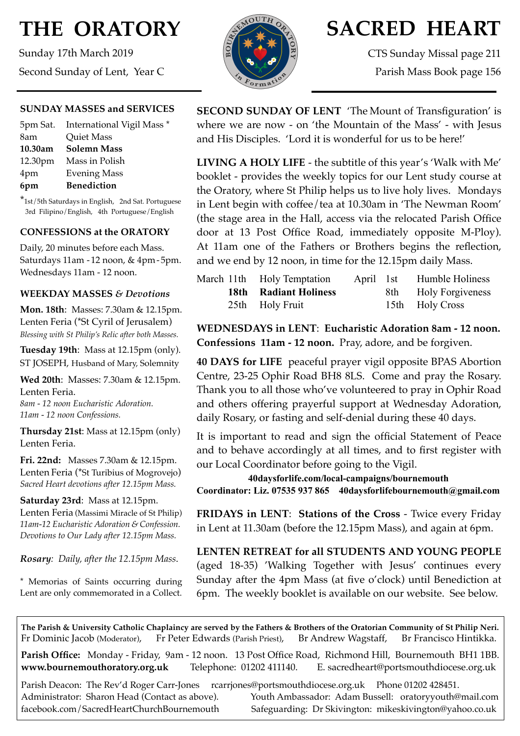# **THE ORATORY**

Sunday 17th March 2019 Second Sunday of Lent, Year C

#### **SUNDAY MASSES and SERVICES**

|         | 5pm Sat. International Vigil Mass * |
|---------|-------------------------------------|
| 8am     | <b>Quiet Mass</b>                   |
| 10.30am | <b>Solemn Mass</b>                  |
|         | 12.30pm Mass in Polish              |
| 4pm     | <b>Evening Mass</b>                 |
| 6pm     | <b>Benediction</b>                  |

\*1st/5th Saturdays in English, 2nd Sat. Portuguese 3rd Filipino/English, 4th Portuguese/English

#### **CONFESSIONS at the ORATORY**

Daily, 20 minutes before each Mass. Saturdays 11am - 12 noon, & 4pm- 5pm. Wednesdays 11am - 12 noon.

#### **WEEKDAY MASSES** *& Devotions*

**Mon. 18th**: Masses: 7.30am & 12.15pm. Lenten Feria (\*St Cyril of Jerusalem) *Blessing with St Philip's Relic after both Masses.*

**Tuesday 19th**: Mass at 12.15pm (only). ST JOSEPH, Husband of Mary, Solemnity

**Wed 20th**: Masses: 7.30am & 12.15pm. Lenten Feria.

*8am - 12 noon Eucharistic Adoration. 11am - 12 noon Confessions.*

**Thursday 21st**: Mass at 12.15pm (only) Lenten Feria.

**Fri. 22nd:** Masses 7.30am & 12.15pm. Lenten Feria (\*St Turibius of Mogrovejo) *Sacred Heart devotions after 12.15pm Mass.*

#### **Saturday 23rd**: Mass at 12.15pm.

Lenten Feria (Massimi Miracle of St Philip) *11am-12 Eucharistic Adoration & Confession. Devotions to Our Lady after 12.15pm Mass.*

*Rosary: Daily, after the 12.15pm Mass*.

\* Memorias of Saints occurring during Lent are only commemorated in a Collect.



## **SACRED HEART**

CTS Sunday Missal page 211 Parish Mass Book page 156

**SECOND SUNDAY OF LENT** 'The Mount of Transfiguration' is where we are now - on 'the Mountain of the Mass' - with Jesus and His Disciples. 'Lord it is wonderful for us to be here!'

**LIVING A HOLY LIFE** - the subtitle of this year's 'Walk with Me' booklet - provides the weekly topics for our Lent study course at the Oratory, where St Philip helps us to live holy lives. Mondays in Lent begin with coffee/tea at 10.30am in 'The Newman Room' (the stage area in the Hall, access via the relocated Parish Office door at 13 Post Office Road, immediately opposite M-Ploy). At 11am one of the Fathers or Brothers begins the reflection, and we end by 12 noon, in time for the 12.15pm daily Mass.

|  | March 11th Holy Temptation   | April 1st | Humble Holiness      |
|--|------------------------------|-----------|----------------------|
|  | <b>18th</b> Radiant Holiness |           | 8th Holy Forgiveness |
|  | 25th Holy Fruit              |           | 15th Holy Cross      |

**WEDNESDAYS in LENT**: **Eucharistic Adoration 8am - 12 noon. Confessions 11am - 12 noon.** Pray, adore, and be forgiven.

**40 DAYS for LIFE** peaceful prayer vigil opposite BPAS Abortion Centre, 23-25 Ophir Road BH8 8LS. Come and pray the Rosary. Thank you to all those who've volunteered to pray in Ophir Road and others offering prayerful support at Wednesday Adoration, daily Rosary, or fasting and self-denial during these 40 days.

It is important to read and sign the official Statement of Peace and to behave accordingly at all times, and to first register with our Local Coordinator before going to the Vigil.

**40daysforlife.com/local-campaigns/bournemouth Coordinator: Liz. 07535 937 865 40daysforlifebournemouth@gmail.com**

**FRIDAYS in LENT**: **Stations of the Cross** - Twice every Friday in Lent at 11.30am (before the 12.15pm Mass), and again at 6pm.

**LENTEN RETREAT for all STUDENTS AND YOUNG PEOPLE**  (aged 18-35) 'Walking Together with Jesus' continues every Sunday after the 4pm Mass (at five o'clock) until Benediction at 6pm. The weekly booklet is available on our website. See below.

**The Parish & University Catholic Chaplaincy are served by the Fathers & Brothers of the Oratorian Community of St Philip Neri.** Fr Dominic Jacob (Moderator), Fr Peter Edwards (Parish Priest), Br Andrew Wagstaff, Br Francisco Hintikka.

**Parish Office:** Monday - Friday, 9am - 12 noon. 13 Post Office Road, Richmond Hill, Bournemouth BH1 1BB. **[www.bournemouthoratory.org.uk](http://www.bournemoithoratory.org.uk)** Telephone: 01202 411140. E. [sacredheart@portsmouthdiocese.org.uk](mailto:sacredheart@portsmouthdiocese.org.uk)

Parish Deacon: The Rev'd Roger Carr-Jones [rcarrjones@portsmouthdiocese.org.uk](mailto:rcarrjones@portsmouthdiocese.org.uk) Phone 01202 428451.

Administrator: Sharon Head (Contact as above). Youth Ambassador: Adam Bussell: [oratoryyouth@mail.com](http://oratoryyouth.mail.com) [facebook.com/SacredHeartChurchBournemouth](http://facebook.com/SaccredHeartChurchBournemouth) Safeguarding: Dr Skivington: mikeskivington@yahoo.co.uk